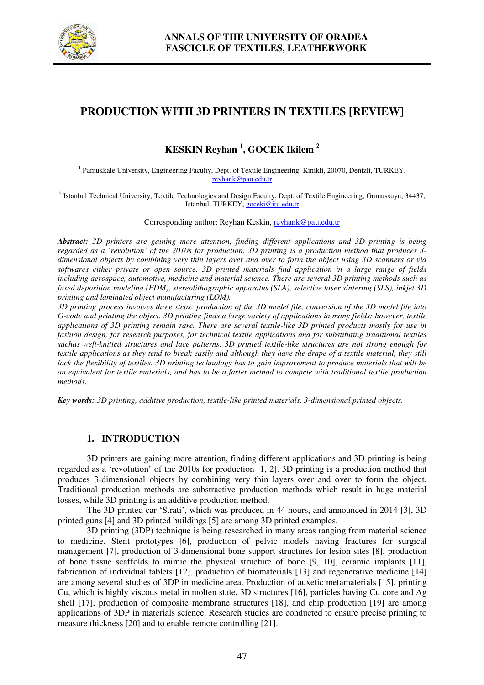

# **PRODUCTION WITH 3D PRINTERS IN TEXTILES [REVIEW]**

# **KESKIN Reyhan <sup>1</sup> , GOCEK Ikilem <sup>2</sup>**

<sup>1</sup> Pamukkale University, Engineering Faculty, Dept. of Textile Engineering, Kinikli, 20070, Denizli, TURKEY, reyhank@pau.edu.tr

<sup>2</sup> Istanbul Technical University, Textile Technologies and Design Faculty, Dept. of Textile Engineering, Gumussuyu, 34437, Istanbul, TURKEY, goceki@itu.edu.tr

Corresponding author: Reyhan Keskin, reyhank@pau.edu.tr

*Abstract: 3D printers are gaining more attention, finding different applications and 3D printing is being regarded as a 'revolution' of the 2010s for production. 3D printing is a production method that produces 3 dimensional objects by combining very thin layers over and over to form the object using 3D scanners or via softwares either private or open source. 3D printed materials find application in a large range of fields including aerospace, automotive, medicine and material science. There are several 3D printing methods such as fused deposition modeling (FDM), stereolithographic apparatus (SLA), selective laser sintering (SLS), inkjet 3D printing and laminated object manufacturing (LOM).* 

*3D printing process involves three steps: production of the 3D model file, conversion of the 3D model file into G-code and printing the object. 3D printing finds a large variety of applications in many fields; however, textile applications of 3D printing remain rare. There are several textile-like 3D printed products mostly for use in fashion design, for research purposes, for technical textile applications and for substituting traditional textiles suchas weft-knitted structures and lace patterns. 3D printed textile-like structures are not strong enough for textile applications as they tend to break easily and although they have the drape of a textile material, they still lack the flexibility of textiles. 3D printing technology has to gain improvement to produce materials that will be an equivalent for textile materials, and has to be a faster method to compete with traditional textile production methods.* 

*Key words: 3D printing, additive production, textile-like printed materials, 3-dimensional printed objects.* 

### **1. INTRODUCTION**

3D printers are gaining more attention, finding different applications and 3D printing is being regarded as a 'revolution' of the 2010s for production [1, 2]. 3D printing is a production method that produces 3-dimensional objects by combining very thin layers over and over to form the object. Traditional production methods are substractive production methods which result in huge material losses, while 3D printing is an additive production method.

The 3D-printed car 'Strati', which was produced in 44 hours, and announced in 2014 [3], 3D printed guns [4] and 3D printed buildings [5] are among 3D printed examples.

3D printing (3DP) technique is being researched in many areas ranging from material science to medicine. Stent prototypes [6], production of pelvic models having fractures for surgical management [7], production of 3-dimensional bone support structures for lesion sites [8], production of bone tissue scaffolds to mimic the physical structure of bone [9, 10], ceramic implants [11], fabrication of individual tablets [12], production of biomaterials [13] and regenerative medicine [14] are among several studies of 3DP in medicine area. Production of auxetic metamaterials [15], printing Cu, which is highly viscous metal in molten state, 3D structures [16], particles having Cu core and Ag shell [17], production of composite membrane structures [18], and chip production [19] are among applications of 3DP in materials science. Research studies are conducted to ensure precise printing to measure thickness [20] and to enable remote controlling [21].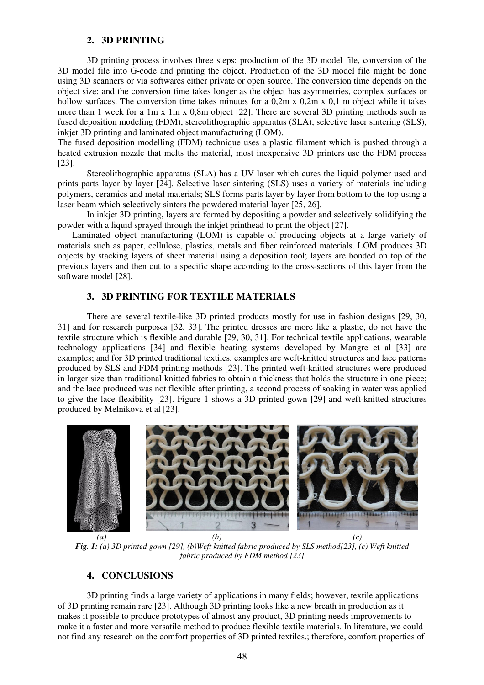#### **2. 3D PRINTING**

3D printing process involves three steps: production of the 3D model file, conversion of the 3D model file into G-code and printing the object. Production of the 3D model file might be done using 3D scanners or via softwares either private or open source. The conversion time depends on the object size; and the conversion time takes longer as the object has asymmetries, complex surfaces or hollow surfaces. The conversion time takes minutes for a 0,2m x 0,2m x 0,1 m object while it takes more than 1 week for a 1m x 1m x 0,8m object [22]. There are several 3D printing methods such as fused deposition modeling (FDM), stereolithographic apparatus (SLA), selective laser sintering (SLS), inkiet 3D printing and laminated object manufacturing (LOM).

The fused deposition modelling (FDM) technique uses a plastic filament which is pushed through a heated extrusion nozzle that melts the material, most inexpensive 3D printers use the FDM process [23].

Stereolithographic apparatus (SLA) has a UV laser which cures the liquid polymer used and prints parts layer by layer [24]. Selective laser sintering (SLS) uses a variety of materials including polymers, ceramics and metal materials; SLS forms parts layer by layer from bottom to the top using a laser beam which selectively sinters the powdered material layer [25, 26].

In inkjet 3D printing, layers are formed by depositing a powder and selectively solidifying the powder with a liquid sprayed through the inkjet printhead to print the object [27].

Laminated object manufacturing (LOM) is capable of producing objects at a large variety of materials such as paper, cellulose, plastics, metals and fiber reinforced materials. LOM produces 3D objects by stacking layers of sheet material using a deposition tool; layers are bonded on top of the previous layers and then cut to a specific shape according to the cross-sections of this layer from the software model [28].

### **3. 3D PRINTING FOR TEXTILE MATERIALS**

There are several textile-like 3D printed products mostly for use in fashion designs [29, 30, 31] and for research purposes [32, 33]. The printed dresses are more like a plastic, do not have the textile structure which is flexible and durable [29, 30, 31]. For technical textile applications, wearable technology applications [34] and flexible heating systems developed by Mangre et al [33] are examples; and for 3D printed traditional textiles, examples are weft-knitted structures and lace patterns produced by SLS and FDM printing methods [23]. The printed weft-knitted structures were produced in larger size than traditional knitted fabrics to obtain a thickness that holds the structure in one piece; and the lace produced was not flexible after printing, a second process of soaking in water was applied to give the lace flexibility [23]. Figure 1 shows a 3D printed gown [29] and weft-knitted structures produced by Melnikova et al [23].



*Fig. 1: (a) 3D printed gown [29], (b)Weft knitted fabric produced by SLS method[23], (c) Weft knitted fabric produced by FDM method [23]* 

#### **4. CONCLUSIONS**

3D printing finds a large variety of applications in many fields; however, textile applications of 3D printing remain rare [23]. Although 3D printing looks like a new breath in production as it makes it possible to produce prototypes of almost any product, 3D printing needs improvements to make it a faster and more versatile method to produce flexible textile materials. In literature, we could not find any research on the comfort properties of 3D printed textiles.; therefore, comfort properties of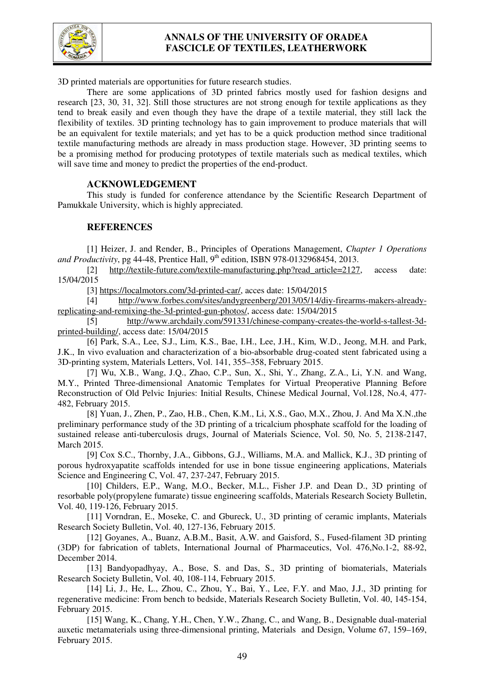

## **ANNALS OF THE UNIVERSITY OF ORADEA FASCICLE OF TEXTILES, LEATHERWORK**

3D printed materials are opportunities for future research studies.

There are some applications of 3D printed fabrics mostly used for fashion designs and research [23, 30, 31, 32]. Still those structures are not strong enough for textile applications as they tend to break easily and even though they have the drape of a textile material, they still lack the flexibility of textiles. 3D printing technology has to gain improvement to produce materials that will be an equivalent for textile materials; and yet has to be a quick production method since traditional textile manufacturing methods are already in mass production stage. However, 3D printing seems to be a promising method for producing prototypes of textile materials such as medical textiles, which will save time and money to predict the properties of the end-product.

### **ACKNOWLEDGEMENT**

 This study is funded for conference attendance by the Scientific Research Department of Pamukkale University, which is highly appreciated.

### **REFERENCES**

 [1] Heizer, J. and Render, B., Principles of Operations Management, *Chapter 1 Operations and Productivity*, pg 44-48, Prentice Hall, 9<sup>th</sup> edition, ISBN 978-0132968454, 2013.

 [2] http://textile-future.com/textile-manufacturing.php?read\_article=2127, access date: 15/04/2015

[3] https://localmotors.com/3d-printed-car/, acces date: 15/04/2015

 [4] http://www.forbes.com/sites/andygreenberg/2013/05/14/diy-firearms-makers-alreadyreplicating-and-remixing-the-3d-printed-gun-photos/, access date: 15/04/2015

 [5] http://www.archdaily.com/591331/chinese-company-creates-the-world-s-tallest-3dprinted-building/, access date: 15/04/2015

[6] Park, S.A., Lee, S.J., Lim, K.S., Bae, I.H., Lee, J.H., Kim, W.D., Jeong, M.H. and Park, J.K., In vivo evaluation and characterization of a bio-absorbable drug-coated stent fabricated using a 3D-printing system, Materials Letters, Vol. 141, 355–358, February 2015.

 [7] Wu, X.B., Wang, J.Q., Zhao, C.P., Sun, X., Shi, Y., Zhang, Z.A., Li, Y.N. and Wang, M.Y., Printed Three-dimensional Anatomic Templates for Virtual Preoperative Planning Before Reconstruction of Old Pelvic Injuries: Initial Results, Chinese Medical Journal, Vol.128, No.4, 477- 482, February 2015.

 [8] Yuan, J., Zhen, P., Zao, H.B., Chen, K.M., Li, X.S., Gao, M.X., Zhou, J. And Ma X.N.,the preliminary performance study of the 3D printing of a tricalcium phosphate scaffold for the loading of sustained release anti-tuberculosis drugs, Journal of Materials Science, Vol. 50, No. 5, 2138-2147, March 2015.

 [9] Cox S.C., Thornby, J.A., Gibbons, G.J., Williams, M.A. and Mallick, K.J., 3D printing of porous hydroxyapatite scaffolds intended for use in bone tissue engineering applications, Materials Science and Engineering C, Vol. 47, 237-247, February 2015.

 [10] Childers, E.P., Wang, M.O., Becker, M.L., Fisher J.P. and Dean D., 3D printing of resorbable poly(propylene fumarate) tissue engineering scaffolds, Materials Research Society Bulletin, Vol. 40, 119-126, February 2015.

[11] Vorndran, E., Moseke, C. and Gbureck, U., 3D printing of ceramic implants, Materials Research Society Bulletin, Vol. 40, 127-136, February 2015.

 [12] Goyanes, A., Buanz, A.B.M., Basit, A.W. and Gaisford, S., Fused-filament 3D printing (3DP) for fabrication of tablets, International Journal of Pharmaceutics, Vol. 476,No.1-2, 88-92, December 2014.

 [13] Bandyopadhyay, A., Bose, S. and Das, S., 3D printing of biomaterials, Materials Research Society Bulletin, Vol. 40, 108-114, February 2015.

[14] Li, J., He, L., Zhou, C., Zhou, Y., Bai, Y., Lee, F.Y. and Mao, J.J., 3D printing for regenerative medicine: From bench to bedside, Materials Research Society Bulletin, Vol. 40, 145-154, February 2015.

[15] Wang, K., Chang, Y.H., Chen, Y.W., Zhang, C., and Wang, B., Designable dual-material auxetic metamaterials using three-dimensional printing, Materials and Design, Volume 67, 159–169, February 2015.